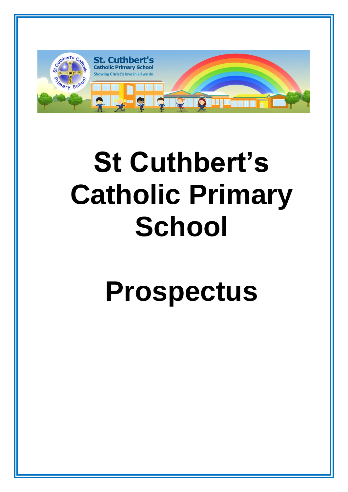

# **St Cuthbert's Catholic Primary School**

# **Prospectus**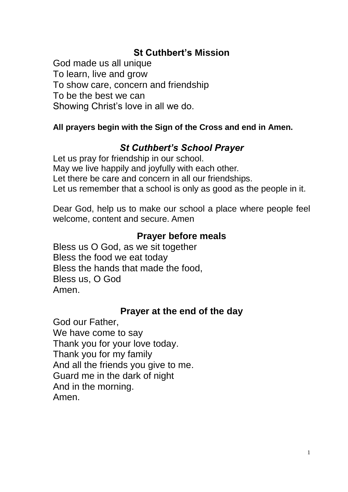# **St Cuthbert's Mission**

God made us all unique To learn, live and grow To show care, concern and friendship To be the best we can Showing Christ's love in all we do.

## **All prayers begin with the Sign of the Cross and end in Amen.**

## *St Cuthbert's School Prayer*

Let us pray for friendship in our school. May we live happily and joyfully with each other. Let there be care and concern in all our friendships. Let us remember that a school is only as good as the people in it.

Dear God, help us to make our school a place where people feel welcome, content and secure. Amen

## **Prayer before meals**

Bless us O God, as we sit together Bless the food we eat today Bless the hands that made the food, Bless us, O God Amen.

## **Prayer at the end of the day**

God our Father, We have come to say Thank you for your love today. Thank you for my family And all the friends you give to me. Guard me in the dark of night And in the morning. Amen.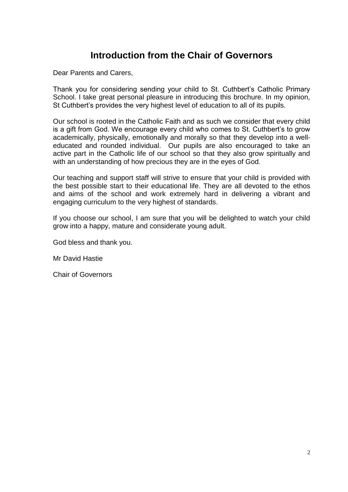## **Introduction from the Chair of Governors**

Dear Parents and Carers,

Thank you for considering sending your child to St. Cuthbert's Catholic Primary School. I take great personal pleasure in introducing this brochure. In my opinion, St Cuthbert's provides the very highest level of education to all of its pupils.

Our school is rooted in the Catholic Faith and as such we consider that every child is a gift from God. We encourage every child who comes to St. Cuthbert's to grow academically, physically, emotionally and morally so that they develop into a welleducated and rounded individual. Our pupils are also encouraged to take an active part in the Catholic life of our school so that they also grow spiritually and with an understanding of how precious they are in the eyes of God.

Our teaching and support staff will strive to ensure that your child is provided with the best possible start to their educational life. They are all devoted to the ethos and aims of the school and work extremely hard in delivering a vibrant and engaging curriculum to the very highest of standards.

If you choose our school, I am sure that you will be delighted to watch your child grow into a happy, mature and considerate young adult.

God bless and thank you.

Mr David Hastie

Chair of Governors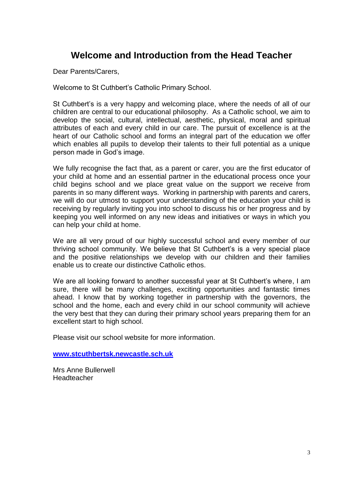## **Welcome and Introduction from the Head Teacher**

Dear Parents/Carers,

Welcome to St Cuthbert's Catholic Primary School.

St Cuthbert's is a very happy and welcoming place, where the needs of all of our children are central to our educational philosophy. As a Catholic school, we aim to develop the social, cultural, intellectual, aesthetic, physical, moral and spiritual attributes of each and every child in our care. The pursuit of excellence is at the heart of our Catholic school and forms an integral part of the education we offer which enables all pupils to develop their talents to their full potential as a unique person made in God's image.

We fully recognise the fact that, as a parent or carer, you are the first educator of your child at home and an essential partner in the educational process once your child begins school and we place great value on the support we receive from parents in so many different ways. Working in partnership with parents and carers, we will do our utmost to support your understanding of the education your child is receiving by regularly inviting you into school to discuss his or her progress and by keeping you well informed on any new ideas and initiatives or ways in which you can help your child at home.

We are all very proud of our highly successful school and every member of our thriving school community. We believe that St Cuthbert's is a very special place and the positive relationships we develop with our children and their families enable us to create our distinctive Catholic ethos.

We are all looking forward to another successful year at St Cuthbert's where, I am sure, there will be many challenges, exciting opportunities and fantastic times ahead. I know that by working together in partnership with the governors, the school and the home, each and every child in our school community will achieve the very best that they can during their primary school years preparing them for an excellent start to high school.

Please visit our school website for more information.

**[www.stcuthbertsk.newcastle.sch.uk](http://www.stcuthbertsk.newcastle.sch.uk/)**

Mrs Anne Bullerwell Headteacher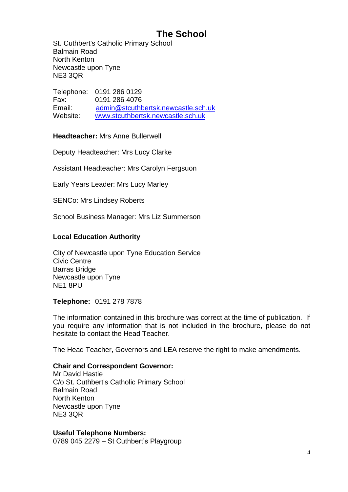# **The School**

St. Cuthbert's Catholic Primary School Balmain Road North Kenton Newcastle upon Tyne NE3 3QR

Telephone: 0191 286 0129<br>Fax: 0191 286 4076 0191 286 4076 Email: [admin@stcuthbertsk.newcastle.sch.uk](mailto:admin@stcuthbertsk.newcastle.sch.uk) Website: <u>[www.stcuthbertsk.newcastle.sch.uk](http://www.stcuthbertsk.newcastle.sch.uk/)</u>

**Headteacher:** Mrs Anne Bullerwell

Deputy Headteacher: Mrs Lucy Clarke

Assistant Headteacher: Mrs Carolyn Fergsuon

Early Years Leader: Mrs Lucy Marley

SENCo: Mrs Lindsey Roberts

School Business Manager: Mrs Liz Summerson

## **Local Education Authority**

City of Newcastle upon Tyne Education Service Civic Centre Barras Bridge Newcastle upon Tyne NE1 8PU

#### **Telephone:** 0191 278 7878

The information contained in this brochure was correct at the time of publication. If you require any information that is not included in the brochure, please do not hesitate to contact the Head Teacher.

The Head Teacher, Governors and LEA reserve the right to make amendments.

#### **Chair and Correspondent Governor:**

Mr David Hastie C/o St. Cuthbert's Catholic Primary School Balmain Road North Kenton Newcastle upon Tyne NE3 3QR

#### **Useful Telephone Numbers:**

0789 045 2279 – St Cuthbert's Playgroup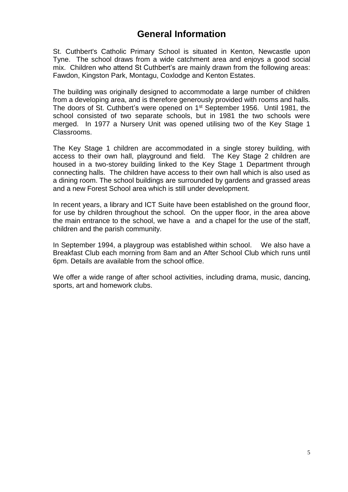## **General Information**

St. Cuthbert's Catholic Primary School is situated in Kenton, Newcastle upon Tyne. The school draws from a wide catchment area and enjoys a good social mix. Children who attend St Cuthbert's are mainly drawn from the following areas: Fawdon, Kingston Park, Montagu, Coxlodge and Kenton Estates.

The building was originally designed to accommodate a large number of children from a developing area, and is therefore generously provided with rooms and halls. The doors of St. Cuthbert's were opened on 1<sup>st</sup> September 1956. Until 1981, the school consisted of two separate schools, but in 1981 the two schools were merged. In 1977 a Nursery Unit was opened utilising two of the Key Stage 1 Classrooms.

The Key Stage 1 children are accommodated in a single storey building, with access to their own hall, playground and field. The Key Stage 2 children are housed in a two-storey building linked to the Key Stage 1 Department through connecting halls. The children have access to their own hall which is also used as a dining room. The school buildings are surrounded by gardens and grassed areas and a new Forest School area which is still under development.

In recent years, a library and ICT Suite have been established on the ground floor, for use by children throughout the school. On the upper floor, in the area above the main entrance to the school, we have a and a chapel for the use of the staff, children and the parish community.

In September 1994, a playgroup was established within school. We also have a Breakfast Club each morning from 8am and an After School Club which runs until 6pm. Details are available from the school office.

We offer a wide range of after school activities, including drama, music, dancing, sports, art and homework clubs.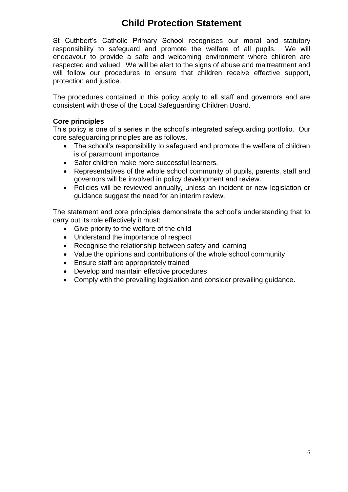# **Child Protection Statement**

St Cuthbert's Catholic Primary School recognises our moral and statutory responsibility to safeguard and promote the welfare of all pupils. We will endeavour to provide a safe and welcoming environment where children are respected and valued. We will be alert to the signs of abuse and maltreatment and will follow our procedures to ensure that children receive effective support, protection and justice.

The procedures contained in this policy apply to all staff and governors and are consistent with those of the Local Safeguarding Children Board.

### **Core principles**

This policy is one of a series in the school's integrated safeguarding portfolio. Our core safeguarding principles are as follows.

- The school's responsibility to safeguard and promote the welfare of children is of paramount importance.
- Safer children make more successful learners.
- Representatives of the whole school community of pupils, parents, staff and governors will be involved in policy development and review.
- Policies will be reviewed annually, unless an incident or new legislation or guidance suggest the need for an interim review.

The statement and core principles demonstrate the school's understanding that to carry out its role effectively it must:

- Give priority to the welfare of the child
- Understand the importance of respect
- Recognise the relationship between safety and learning
- Value the opinions and contributions of the whole school community
- Ensure staff are appropriately trained
- Develop and maintain effective procedures
- Comply with the prevailing legislation and consider prevailing guidance.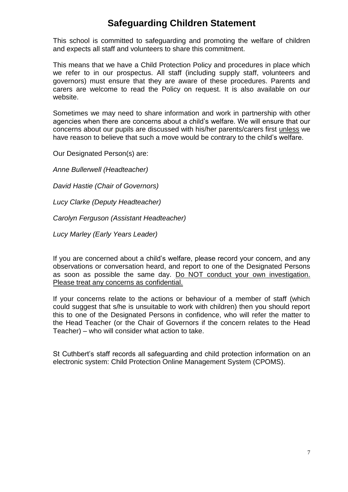## **Safeguarding Children Statement**

This school is committed to safeguarding and promoting the welfare of children and expects all staff and volunteers to share this commitment.

This means that we have a Child Protection Policy and procedures in place which we refer to in our prospectus. All staff (including supply staff, volunteers and governors) must ensure that they are aware of these procedures. Parents and carers are welcome to read the Policy on request. It is also available on our website.

Sometimes we may need to share information and work in partnership with other agencies when there are concerns about a child's welfare. We will ensure that our concerns about our pupils are discussed with his/her parents/carers first unless we have reason to believe that such a move would be contrary to the child's welfare.

Our Designated Person(s) are:

*Anne Bullerwell (Headteacher)*

*David Hastie (Chair of Governors)*

*Lucy Clarke (Deputy Headteacher)*

*Carolyn Ferguson (Assistant Headteacher)*

*Lucy Marley (Early Years Leader)*

If you are concerned about a child's welfare, please record your concern, and any observations or conversation heard, and report to one of the Designated Persons as soon as possible the same day. Do NOT conduct your own investigation. Please treat any concerns as confidential.

If your concerns relate to the actions or behaviour of a member of staff (which could suggest that s/he is unsuitable to work with children) then you should report this to one of the Designated Persons in confidence, who will refer the matter to the Head Teacher (or the Chair of Governors if the concern relates to the Head Teacher) – who will consider what action to take.

St Cuthbert's staff records all safeguarding and child protection information on an electronic system: Child Protection Online Management System (CPOMS).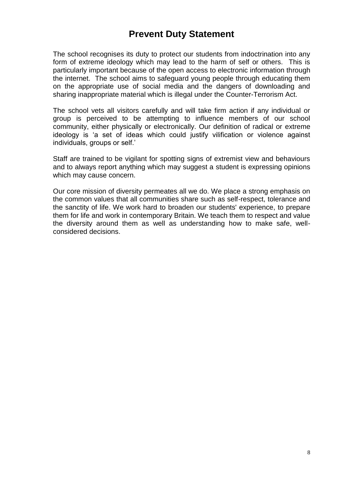## **Prevent Duty Statement**

The school recognises its duty to protect our students from indoctrination into any form of extreme ideology which may lead to the harm of self or others. This is particularly important because of the open access to electronic information through the internet. The school aims to safeguard young people through educating them on the appropriate use of social media and the dangers of downloading and sharing inappropriate material which is illegal under the Counter-Terrorism Act.

The school vets all visitors carefully and will take firm action if any individual or group is perceived to be attempting to influence members of our school community, either physically or electronically. Our definition of radical or extreme ideology is 'a set of ideas which could justify vilification or violence against individuals, groups or self.'

Staff are trained to be vigilant for spotting signs of extremist view and behaviours and to always report anything which may suggest a student is expressing opinions which may cause concern.

Our core mission of diversity permeates all we do. We place a strong emphasis on the common values that all communities share such as self-respect, tolerance and the sanctity of life. We work hard to broaden our students' experience, to prepare them for life and work in contemporary Britain. We teach them to respect and value the diversity around them as well as understanding how to make safe, wellconsidered decisions.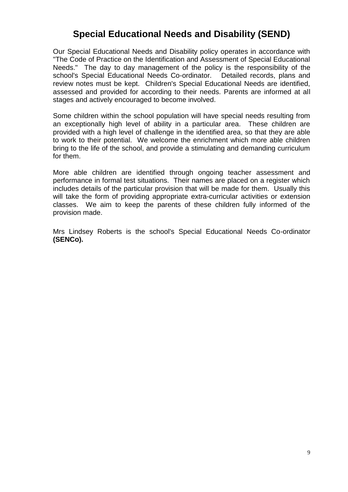## **Special Educational Needs and Disability (SEND)**

Our Special Educational Needs and Disability policy operates in accordance with "The Code of Practice on the Identification and Assessment of Special Educational Needs." The day to day management of the policy is the responsibility of the school's Special Educational Needs Co-ordinator. Detailed records, plans and review notes must be kept. Children's Special Educational Needs are identified, assessed and provided for according to their needs. Parents are informed at all stages and actively encouraged to become involved.

Some children within the school population will have special needs resulting from an exceptionally high level of ability in a particular area. These children are provided with a high level of challenge in the identified area, so that they are able to work to their potential. We welcome the enrichment which more able children bring to the life of the school, and provide a stimulating and demanding curriculum for them.

More able children are identified through ongoing teacher assessment and performance in formal test situations. Their names are placed on a register which includes details of the particular provision that will be made for them. Usually this will take the form of providing appropriate extra-curricular activities or extension classes. We aim to keep the parents of these children fully informed of the provision made.

Mrs Lindsey Roberts is the school's Special Educational Needs Co-ordinator **(SENCo).**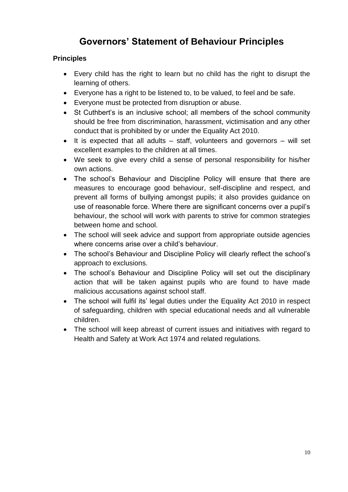# **Governors' Statement of Behaviour Principles**

## **Principles**

- Every child has the right to learn but no child has the right to disrupt the learning of others.
- Everyone has a right to be listened to, to be valued, to feel and be safe.
- Everyone must be protected from disruption or abuse.
- St Cuthbert's is an inclusive school: all members of the school community should be free from discrimination, harassment, victimisation and any other conduct that is prohibited by or under the Equality Act 2010.
- It is expected that all adults  $-$  staff, volunteers and governors  $-$  will set excellent examples to the children at all times.
- We seek to give every child a sense of personal responsibility for his/her own actions.
- The school's Behaviour and Discipline Policy will ensure that there are measures to encourage good behaviour, self-discipline and respect, and prevent all forms of bullying amongst pupils; it also provides guidance on use of reasonable force. Where there are significant concerns over a pupil's behaviour, the school will work with parents to strive for common strategies between home and school.
- The school will seek advice and support from appropriate outside agencies where concerns arise over a child's behaviour.
- The school's Behaviour and Discipline Policy will clearly reflect the school's approach to exclusions.
- The school's Behaviour and Discipline Policy will set out the disciplinary action that will be taken against pupils who are found to have made malicious accusations against school staff.
- The school will fulfil its' legal duties under the Equality Act 2010 in respect of safeguarding, children with special educational needs and all vulnerable children.
- The school will keep abreast of current issues and initiatives with regard to Health and Safety at Work Act 1974 and related regulations.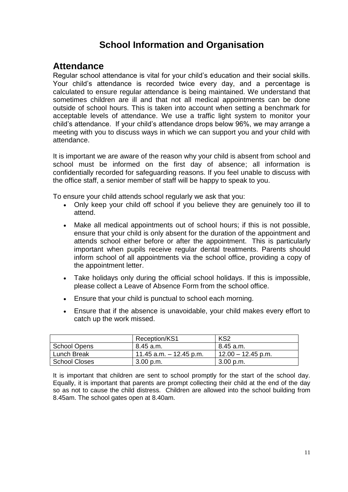# **School Information and Organisation**

## **Attendance**

Regular school attendance is vital for your child's education and their social skills. Your child's attendance is recorded twice every day, and a percentage is calculated to ensure regular attendance is being maintained. We understand that sometimes children are ill and that not all medical appointments can be done outside of school hours. This is taken into account when setting a benchmark for acceptable levels of attendance. We use a traffic light system to monitor your child's attendance. If your child's attendance drops below 96%, we may arrange a meeting with you to discuss ways in which we can support you and your child with attendance.

It is important we are aware of the reason why your child is absent from school and school must be informed on the first day of absence; all information is confidentially recorded for safeguarding reasons. If you feel unable to discuss with the office staff, a senior member of staff will be happy to speak to you.

To ensure your child attends school regularly we ask that you:

- Only keep your child off school if you believe they are genuinely too ill to attend.
- Make all medical appointments out of school hours; if this is not possible, ensure that your child is only absent for the duration of the appointment and attends school either before or after the appointment. This is particularly important when pupils receive regular dental treatments. Parents should inform school of all appointments via the school office, providing a copy of the appointment letter.
- Take holidays only during the official school holidays. If this is impossible, please collect a Leave of Absence Form from the school office.
- Ensure that your child is punctual to school each morning.
- Ensure that if the absence is unavoidable, your child makes every effort to catch up the work missed.

|               | Reception/KS1           | KS <sub>2</sub>      |
|---------------|-------------------------|----------------------|
| School Opens  | 8.45 a.m.               | 8.45 a.m.            |
| Lunch Break   | 11.45 a.m. – 12.45 p.m. | $12.00 - 12.45$ p.m. |
| School Closes | $3.00$ p.m.             | 3.00 p.m.            |

It is important that children are sent to school promptly for the start of the school day. Equally, it is important that parents are prompt collecting their child at the end of the day so as not to cause the child distress. Children are allowed into the school building from 8.45am. The school gates open at 8.40am.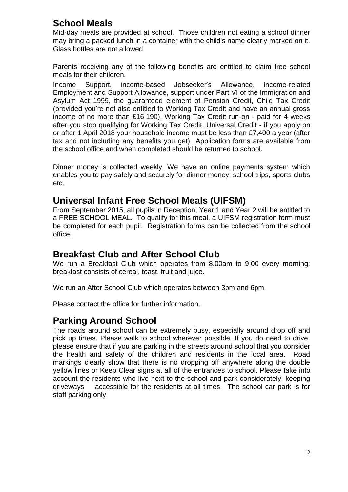## **School Meals**

Mid-day meals are provided at school. Those children not eating a school dinner may bring a packed lunch in a container with the child's name clearly marked on it. Glass bottles are not allowed.

Parents receiving any of the following benefits are entitled to claim free school meals for their children.

Income Support, income-based Jobseeker's Allowance, income-related Employment and Support Allowance, support under Part VI of the Immigration and Asylum Act 1999, the guaranteed element of Pension Credit, Child Tax Credit (provided you're not also entitled to Working Tax Credit and have an annual gross income of no more than £16,190), Working Tax Credit run-on - paid for 4 weeks after you stop qualifying for Working Tax Credit, Universal Credit - if you apply on or after 1 April 2018 your household income must be less than £7,400 a year (after tax and not including any benefits you get) Application forms are available from the school office and when completed should be returned to school.

Dinner money is collected weekly. We have an online payments system which enables you to pay safely and securely for dinner money, school trips, sports clubs etc.

## **Universal Infant Free School Meals (UIFSM)**

From September 2015, all pupils in Reception, Year 1 and Year 2 will be entitled to a FREE SCHOOL MEAL. To qualify for this meal, a UIFSM registration form must be completed for each pupil. Registration forms can be collected from the school office.

## **Breakfast Club and After School Club**

We run a Breakfast Club which operates from 8.00am to 9.00 every morning; breakfast consists of cereal, toast, fruit and juice.

We run an After School Club which operates between 3pm and 6pm.

Please contact the office for further information.

## **Parking Around School**

The roads around school can be extremely busy, especially around drop off and pick up times. Please walk to school wherever possible. If you do need to drive, please ensure that if you are parking in the streets around school that you consider the health and safety of the children and residents in the local area. Road markings clearly show that there is no dropping off anywhere along the double yellow lines or Keep Clear signs at all of the entrances to school. Please take into account the residents who live next to the school and park considerately, keeping driveways accessible for the residents at all times. The school car park is for staff parking only.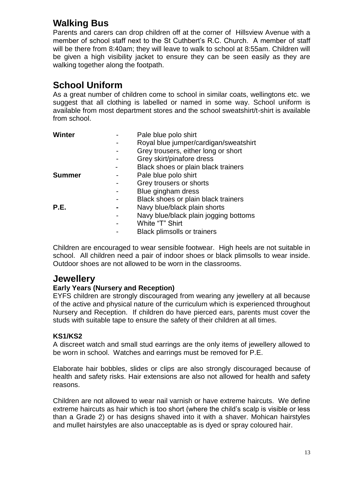# **Walking Bus**

Parents and carers can drop children off at the corner of Hillsview Avenue with a member of school staff next to the St Cuthbert's R.C. Church. A member of staff will be there from 8:40am; they will leave to walk to school at 8:55am. Children will be given a high visibility jacket to ensure they can be seen easily as they are walking together along the footpath.

# **School Uniform**

As a great number of children come to school in similar coats, wellingtons etc. we suggest that all clothing is labelled or named in some way. School uniform is available from most department stores and the school sweatshirt/t-shirt is available from school.

| <b>Winter</b> | Pale blue polo shirt                  |
|---------------|---------------------------------------|
|               | Royal blue jumper/cardigan/sweatshirt |
|               | Grey trousers, either long or short   |
|               | Grey skirt/pinafore dress             |
|               | Black shoes or plain black trainers   |
| <b>Summer</b> | Pale blue polo shirt                  |
|               | Grey trousers or shorts               |
|               | Blue gingham dress                    |
|               | Black shoes or plain black trainers   |
| P.E.          | Navy blue/black plain shorts          |
|               | Navy blue/black plain jogging bottoms |
|               | White "T" Shirt                       |
|               | <b>Black plimsolls or trainers</b>    |
|               |                                       |

Children are encouraged to wear sensible footwear. High heels are not suitable in school. All children need a pair of indoor shoes or black plimsolls to wear inside. Outdoor shoes are not allowed to be worn in the classrooms.

## **Jewellery**

## **Early Years (Nursery and Reception)**

EYFS children are strongly discouraged from wearing any jewellery at all because of the active and physical nature of the curriculum which is experienced throughout Nursery and Reception. If children do have pierced ears, parents must cover the studs with suitable tape to ensure the safety of their children at all times.

## **KS1/KS2**

A discreet watch and small stud earrings are the only items of jewellery allowed to be worn in school. Watches and earrings must be removed for P.E.

Elaborate hair bobbles, slides or clips are also strongly discouraged because of health and safety risks. Hair extensions are also not allowed for health and safety reasons.

Children are not allowed to wear nail varnish or have extreme haircuts. We define extreme haircuts as hair which is too short (where the child's scalp is visible or less than a Grade 2) or has designs shaved into it with a shaver. Mohican hairstyles and mullet hairstyles are also unacceptable as is dyed or spray coloured hair.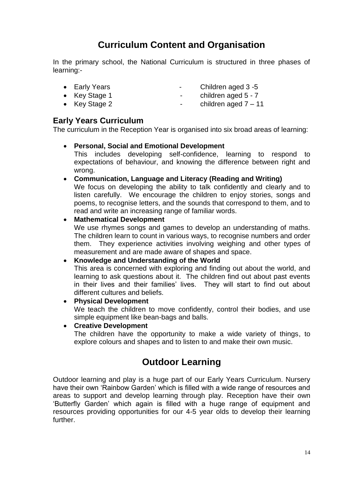# **Curriculum Content and Organisation**

In the primary school, the National Curriculum is structured in three phases of learning:-

- 
- Early Years  **Children aged 3 -5**
- 
- Key Stage 1 children aged 5 7
	- Key Stage 2  $\qquad \qquad$  children aged 7 11

## **Early Years Curriculum**

The curriculum in the Reception Year is organised into six broad areas of learning:

## • **Personal, Social and Emotional Development**

This includes developing self-confidence, learning to respond to expectations of behaviour, and knowing the difference between right and wrong.

• **Communication, Language and Literacy (Reading and Writing)**

We focus on developing the ability to talk confidently and clearly and to listen carefully. We encourage the children to enjoy stories, songs and poems, to recognise letters, and the sounds that correspond to them, and to read and write an increasing range of familiar words.

## • **Mathematical Development**

We use rhymes songs and games to develop an understanding of maths. The children learn to count in various ways, to recognise numbers and order them. They experience activities involving weighing and other types of measurement and are made aware of shapes and space.

## • **Knowledge and Understanding of the World**

This area is concerned with exploring and finding out about the world, and learning to ask questions about it. The children find out about past events in their lives and their families' lives. They will start to find out about different cultures and beliefs.

#### • **Physical Development**

We teach the children to move confidently, control their bodies, and use simple equipment like bean-bags and balls.

• **Creative Development**

The children have the opportunity to make a wide variety of things, to explore colours and shapes and to listen to and make their own music.

## **Outdoor Learning**

Outdoor learning and play is a huge part of our Early Years Curriculum. Nursery have their own 'Rainbow Garden' which is filled with a wide range of resources and areas to support and develop learning through play. Reception have their own 'Butterfly Garden' which again is filled with a huge range of equipment and resources providing opportunities for our 4-5 year olds to develop their learning further.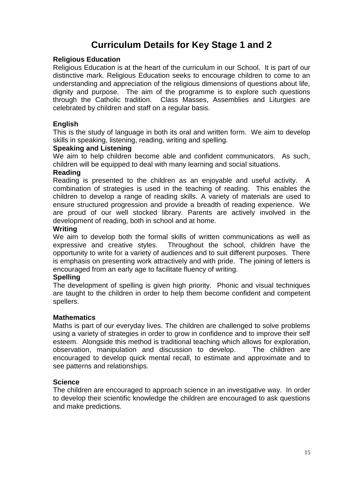# **Curriculum Details for Key Stage 1 and 2**

#### **Religious Education**

Religious Education is at the heart of the curriculum in our School. It is part of our distinctive mark. Religious Education seeks to encourage children to come to an understanding and appreciation of the religious dimensions of questions about life, dignity and purpose. The aim of the programme is to explore such questions through the Catholic tradition. Class Masses, Assemblies and Liturgies are celebrated by children and staff on a regular basis.

#### **English**

This is the study of language in both its oral and written form. We aim to develop skills in speaking, listening, reading, writing and spelling.

#### **Speaking and Listening**

We aim to help children become able and confident communicators. As such, children will be equipped to deal with many learning and social situations.

#### **Reading**

Reading is presented to the children as an enjoyable and useful activity. combination of strategies is used in the teaching of reading. This enables the children to develop a range of reading skills. A variety of materials are used to ensure structured progression and provide a breadth of reading experience. We are proud of our well stocked library. Parents are actively involved in the development of reading, both in school and at home.

#### **Writing**

We aim to develop both the formal skills of written communications as well as expressive and creative styles. Throughout the school, children have the opportunity to write for a variety of audiences and to suit different purposes. There is emphasis on presenting work attractively and with pride. The joining of letters is encouraged from an early age to facilitate fluency of writing.

#### **Spelling**

The development of spelling is given high priority. Phonic and visual techniques are taught to the children in order to help them become confident and competent spellers.

#### **Mathematics**

Maths is part of our everyday lives. The children are challenged to solve problems using a variety of strategies in order to grow in confidence and to improve their self esteem. Alongside this method is traditional teaching which allows for exploration, observation, manipulation and discussion to develop. The children are encouraged to develop quick mental recall, to estimate and approximate and to see patterns and relationships.

#### **Science**

The children are encouraged to approach science in an investigative way. In order to develop their scientific knowledge the children are encouraged to ask questions and make predictions.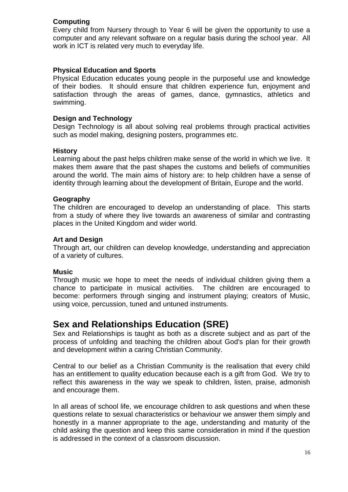## **Computing**

Every child from Nursery through to Year 6 will be given the opportunity to use a computer and any relevant software on a regular basis during the school year. All work in ICT is related very much to everyday life.

### **Physical Education and Sports**

Physical Education educates young people in the purposeful use and knowledge of their bodies. It should ensure that children experience fun, enjoyment and satisfaction through the areas of games, dance, gymnastics, athletics and swimming.

#### **Design and Technology**

Design Technology is all about solving real problems through practical activities such as model making, designing posters, programmes etc.

#### **History**

Learning about the past helps children make sense of the world in which we live. It makes them aware that the past shapes the customs and beliefs of communities around the world. The main aims of history are: to help children have a sense of identity through learning about the development of Britain, Europe and the world.

#### **Geography**

The children are encouraged to develop an understanding of place. This starts from a study of where they live towards an awareness of similar and contrasting places in the United Kingdom and wider world.

#### **Art and Design**

Through art, our children can develop knowledge, understanding and appreciation of a variety of cultures.

#### **Music**

Through music we hope to meet the needs of individual children giving them a chance to participate in musical activities. The children are encouraged to become: performers through singing and instrument playing; creators of Music, using voice, percussion, tuned and untuned instruments.

## **Sex and Relationships Education (SRE)**

Sex and Relationships is taught as both as a discrete subject and as part of the process of unfolding and teaching the children about God's plan for their growth and development within a caring Christian Community.

Central to our belief as a Christian Community is the realisation that every child has an entitlement to quality education because each is a gift from God. We try to reflect this awareness in the way we speak to children, listen, praise, admonish and encourage them.

In all areas of school life, we encourage children to ask questions and when these questions relate to sexual characteristics or behaviour we answer them simply and honestly in a manner appropriate to the age, understanding and maturity of the child asking the question and keep this same consideration in mind if the question is addressed in the context of a classroom discussion.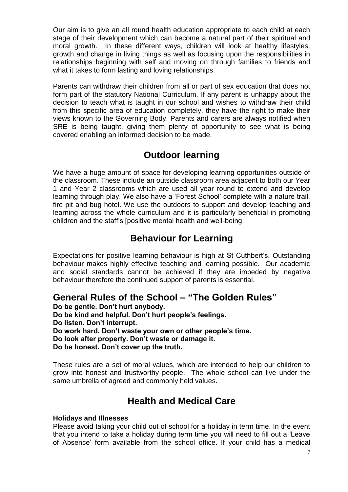Our aim is to give an all round health education appropriate to each child at each stage of their development which can become a natural part of their spiritual and moral growth. In these different ways, children will look at healthy lifestyles, growth and change in living things as well as focusing upon the responsibilities in relationships beginning with self and moving on through families to friends and what it takes to form lasting and loving relationships.

Parents can withdraw their children from all or part of sex education that does not form part of the statutory National Curriculum. If any parent is unhappy about the decision to teach what is taught in our school and wishes to withdraw their child from this specific area of education completely, they have the right to make their views known to the Governing Body. Parents and carers are always notified when SRE is being taught, giving them plenty of opportunity to see what is being covered enabling an informed decision to be made.

## **Outdoor learning**

We have a huge amount of space for developing learning opportunities outside of the classroom. These include an outside classroom area adjacent to both our Year 1 and Year 2 classrooms which are used all year round to extend and develop learning through play. We also have a 'Forest School' complete with a nature trail, fire pit and bug hotel. We use the outdoors to support and develop teaching and learning across the whole curriculum and it is particularly beneficial in promoting children and the staff's [positive mental health and well-being.

## **Behaviour for Learning**

Expectations for positive learning behaviour is high at St Cuthbert's. Outstanding behaviour makes highly effective teaching and learning possible. Our academic and social standards cannot be achieved if they are impeded by negative behaviour therefore the continued support of parents is essential.

## **General Rules of the School – "The Golden Rules"**

**Do be gentle. Don't hurt anybody.**

**Do be kind and helpful. Don't hurt people's feelings.**

**Do listen. Don't interrupt.**

**Do work hard. Don't waste your own or other people's time.**

**Do look after property. Don't waste or damage it.**

**Do be honest. Don't cover up the truth.**

These rules are a set of moral values, which are intended to help our children to grow into honest and trustworthy people. The whole school can live under the same umbrella of agreed and commonly held values.

## **Health and Medical Care**

## **Holidays and Illnesses**

Please avoid taking your child out of school for a holiday in term time. In the event that you intend to take a holiday during term time you will need to fill out a 'Leave of Absence' form available from the school office. If your child has a medical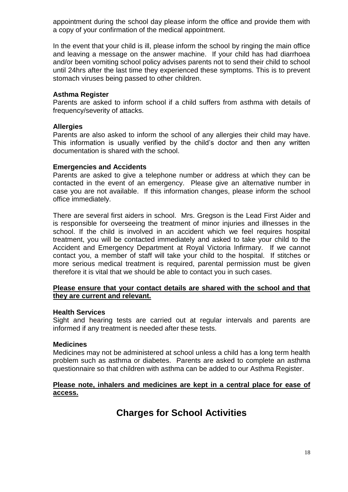appointment during the school day please inform the office and provide them with a copy of your confirmation of the medical appointment.

In the event that your child is ill, please inform the school by ringing the main office and leaving a message on the answer machine. If your child has had diarrhoea and/or been vomiting school policy advises parents not to send their child to school until 24hrs after the last time they experienced these symptoms. This is to prevent stomach viruses being passed to other children.

#### **Asthma Register**

Parents are asked to inform school if a child suffers from asthma with details of frequency/severity of attacks.

#### **Allergies**

Parents are also asked to inform the school of any allergies their child may have. This information is usually verified by the child's doctor and then any written documentation is shared with the school.

#### **Emergencies and Accidents**

Parents are asked to give a telephone number or address at which they can be contacted in the event of an emergency. Please give an alternative number in case you are not available. If this information changes, please inform the school office immediately.

There are several first aiders in school. Mrs. Gregson is the Lead First Aider and is responsible for overseeing the treatment of minor injuries and illnesses in the school. If the child is involved in an accident which we feel requires hospital treatment, you will be contacted immediately and asked to take your child to the Accident and Emergency Department at Royal Victoria Infirmary. If we cannot contact you, a member of staff will take your child to the hospital. If stitches or more serious medical treatment is required, parental permission must be given therefore it is vital that we should be able to contact you in such cases.

#### **Please ensure that your contact details are shared with the school and that they are current and relevant.**

#### **Health Services**

Sight and hearing tests are carried out at regular intervals and parents are informed if any treatment is needed after these tests.

#### **Medicines**

Medicines may not be administered at school unless a child has a long term health problem such as asthma or diabetes. Parents are asked to complete an asthma questionnaire so that children with asthma can be added to our Asthma Register.

#### **Please note, inhalers and medicines are kept in a central place for ease of access.**

## **Charges for School Activities**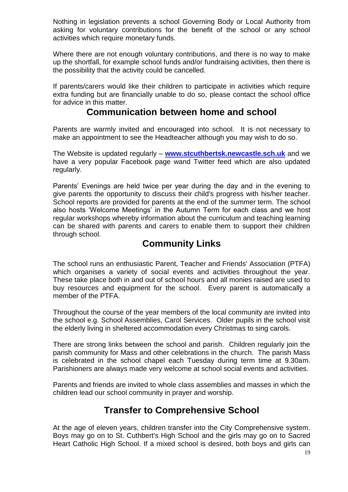Nothing in legislation prevents a school Governing Body or Local Authority from asking for voluntary contributions for the benefit of the school or any school activities which require monetary funds.

Where there are not enough voluntary contributions, and there is no way to make up the shortfall, for example school funds and/or fundraising activities, then there is the possibility that the activity could be cancelled.

If parents/carers would like their children to participate in activities which require extra funding but are financially unable to do so, please contact the school office for advice in this matter.

## **Communication between home and school**

Parents are warmly invited and encouraged into school. It is not necessary to make an appointment to see the Headteacher although you may wish to do so.

The Website is updated regularly – **[www.stcuthbertsk.newcastle.sch.uk](http://www.stcuthbertsk.newcastle.sch.uk/)** and we have a very popular Facebook page wand Twitter feed which are also updated regularly.

Parents' Evenings are held twice per year during the day and in the evening to give parents the opportunity to discuss their child's progress with his/her teacher. School reports are provided for parents at the end of the summer term. The school also hosts 'Welcome Meetings' in the Autumn Term for each class and we host regular workshops whereby information about the curriculum and teaching learning can be shared with parents and carers to enable them to support their children through school.

## **Community Links**

The school runs an enthusiastic Parent, Teacher and Friends' Association (PTFA) which organises a variety of social events and activities throughout the year. These take place both in and out of school hours and all monies raised are used to buy resources and equipment for the school. Every parent is automatically a member of the PTFA.

Throughout the course of the year members of the local community are invited into the school e.g. School Assemblies, Carol Services. Older pupils in the school visit the elderly living in sheltered accommodation every Christmas to sing carols.

There are strong links between the school and parish. Children regularly join the parish community for Mass and other celebrations in the church. The parish Mass is celebrated in the school chapel each Tuesday during term time at 9.30am. Parishioners are always made very welcome at school social events and activities.

Parents and friends are invited to whole class assemblies and masses in which the children lead our school community in prayer and worship.

## **Transfer to Comprehensive School**

At the age of eleven years, children transfer into the City Comprehensive system. Boys may go on to St. Cuthbert's High School and the girls may go on to Sacred Heart Catholic High School. If a mixed school is desired, both boys and girls can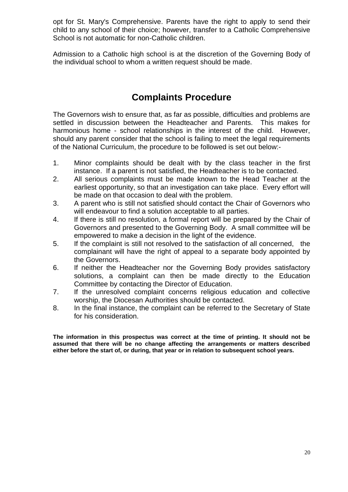opt for St. Mary's Comprehensive. Parents have the right to apply to send their child to any school of their choice; however, transfer to a Catholic Comprehensive School is not automatic for non-Catholic children.

Admission to a Catholic high school is at the discretion of the Governing Body of the individual school to whom a written request should be made.

# **Complaints Procedure**

The Governors wish to ensure that, as far as possible, difficulties and problems are settled in discussion between the Headteacher and Parents. This makes for harmonious home - school relationships in the interest of the child. However, should any parent consider that the school is failing to meet the legal requirements of the National Curriculum, the procedure to be followed is set out below:-

- 1. Minor complaints should be dealt with by the class teacher in the first instance. If a parent is not satisfied, the Headteacher is to be contacted.
- 2. All serious complaints must be made known to the Head Teacher at the earliest opportunity, so that an investigation can take place. Every effort will be made on that occasion to deal with the problem.
- 3. A parent who is still not satisfied should contact the Chair of Governors who will endeavour to find a solution acceptable to all parties.
- 4. If there is still no resolution, a formal report will be prepared by the Chair of Governors and presented to the Governing Body. A small committee will be empowered to make a decision in the light of the evidence.
- 5. If the complaint is still not resolved to the satisfaction of all concerned, the complainant will have the right of appeal to a separate body appointed by the Governors.
- 6. If neither the Headteacher nor the Governing Body provides satisfactory solutions, a complaint can then be made directly to the Education Committee by contacting the Director of Education.
- 7. If the unresolved complaint concerns religious education and collective worship, the Diocesan Authorities should be contacted.
- 8. In the final instance, the complaint can be referred to the Secretary of State for his consideration.

**The information in this prospectus was correct at the time of printing. It should not be assumed that there will be no change affecting the arrangements or matters described either before the start of, or during, that year or in relation to subsequent school years.**